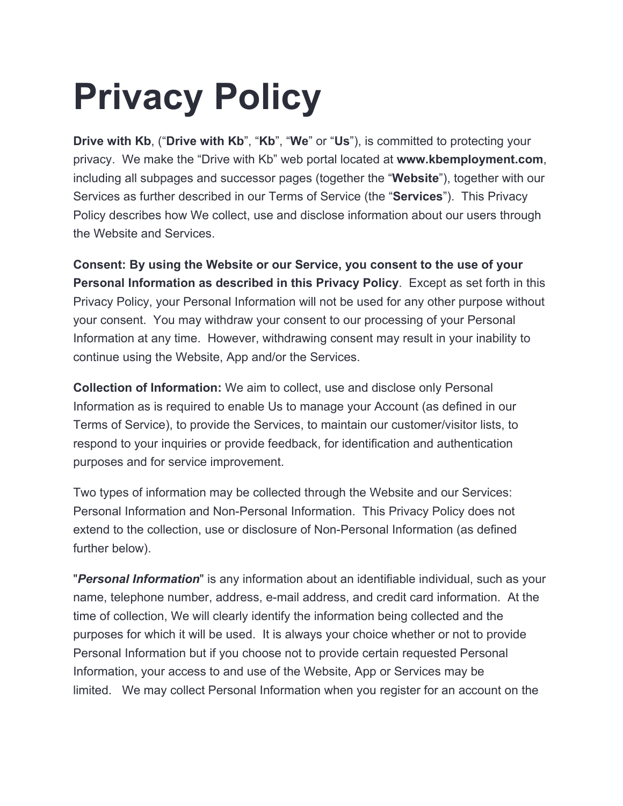## **Privacy Policy**

**Drive with Kb**, ("**Drive with Kb**", "**Kb**", "**We**" or "**Us**"), is committed to protecting your privacy. We make the "Drive with Kb" web portal located at **www.kbemployment.com**, including all subpages and successor pages (together the "**Website**"), together with our Services as further described in our Terms of Service (the "**Services**"). This Privacy Policy describes how We collect, use and disclose information about our users through the Website and Services.

**Consent: By using the Website or our Service, you consent to the use of your Personal Information as described in this Privacy Policy**. Except as set forth in this Privacy Policy, your Personal Information will not be used for any other purpose without your consent. You may withdraw your consent to our processing of your Personal Information at any time. However, withdrawing consent may result in your inability to continue using the Website, App and/or the Services.

**Collection of Information:** We aim to collect, use and disclose only Personal Information as is required to enable Us to manage your Account (as defined in our Terms of Service), to provide the Services, to maintain our customer/visitor lists, to respond to your inquiries or provide feedback, for identification and authentication purposes and for service improvement.

Two types of information may be collected through the Website and our Services: Personal Information and Non-Personal Information. This Privacy Policy does not extend to the collection, use or disclosure of Non-Personal Information (as defined further below).

"*Personal Information*" is any information about an identifiable individual, such as your name, telephone number, address, e-mail address, and credit card information. At the time of collection, We will clearly identify the information being collected and the purposes for which it will be used. It is always your choice whether or not to provide Personal Information but if you choose not to provide certain requested Personal Information, your access to and use of the Website, App or Services may be limited. We may collect Personal Information when you register for an account on the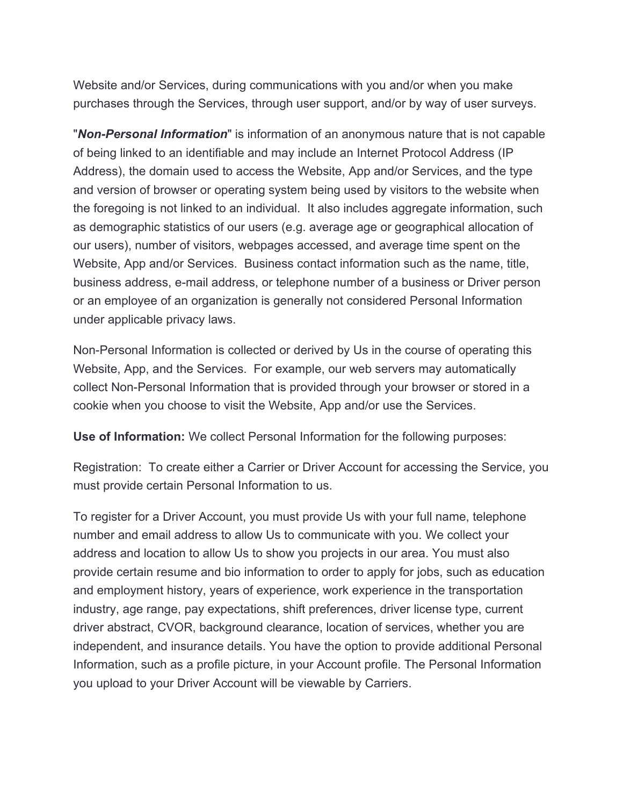Website and/or Services, during communications with you and/or when you make purchases through the Services, through user support, and/or by way of user surveys.

"*Non-Personal Information*" is information of an anonymous nature that is not capable of being linked to an identifiable and may include an Internet Protocol Address (IP Address), the domain used to access the Website, App and/or Services, and the type and version of browser or operating system being used by visitors to the website when the foregoing is not linked to an individual. It also includes aggregate information, such as demographic statistics of our users (e.g. average age or geographical allocation of our users), number of visitors, webpages accessed, and average time spent on the Website, App and/or Services. Business contact information such as the name, title, business address, e-mail address, or telephone number of a business or Driver person or an employee of an organization is generally not considered Personal Information under applicable privacy laws.

Non-Personal Information is collected or derived by Us in the course of operating this Website, App, and the Services. For example, our web servers may automatically collect Non-Personal Information that is provided through your browser or stored in a cookie when you choose to visit the Website, App and/or use the Services.

**Use of Information:** We collect Personal Information for the following purposes:

Registration: To create either a Carrier or Driver Account for accessing the Service, you must provide certain Personal Information to us.

To register for a Driver Account, you must provide Us with your full name, telephone number and email address to allow Us to communicate with you. We collect your address and location to allow Us to show you projects in our area. You must also provide certain resume and bio information to order to apply for jobs, such as education and employment history, years of experience, work experience in the transportation industry, age range, pay expectations, shift preferences, driver license type, current driver abstract, CVOR, background clearance, location of services, whether you are independent, and insurance details. You have the option to provide additional Personal Information, such as a profile picture, in your Account profile. The Personal Information you upload to your Driver Account will be viewable by Carriers.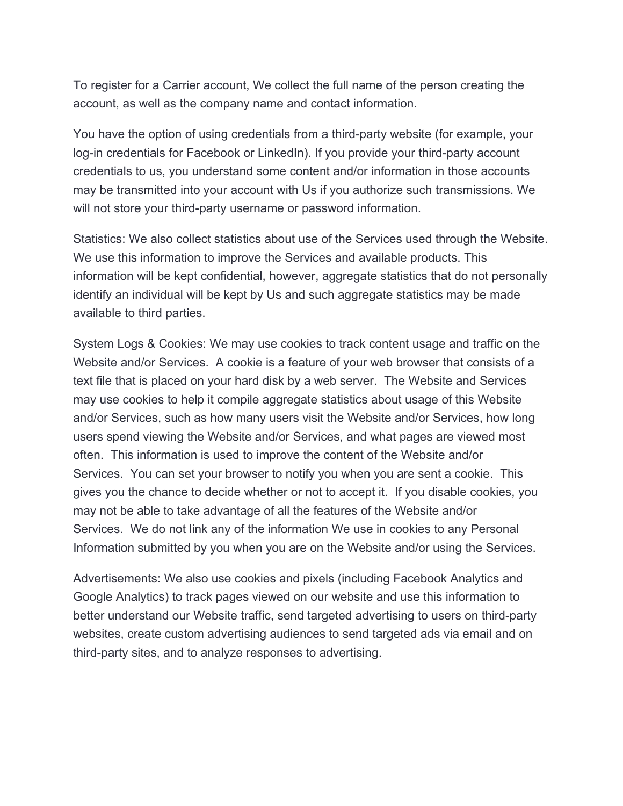To register for a Carrier account, We collect the full name of the person creating the account, as well as the company name and contact information.

You have the option of using credentials from a third-party website (for example, your log-in credentials for Facebook or LinkedIn). If you provide your third-party account credentials to us, you understand some content and/or information in those accounts may be transmitted into your account with Us if you authorize such transmissions. We will not store your third-party username or password information.

Statistics: We also collect statistics about use of the Services used through the Website. We use this information to improve the Services and available products. This information will be kept confidential, however, aggregate statistics that do not personally identify an individual will be kept by Us and such aggregate statistics may be made available to third parties.

System Logs & Cookies: We may use cookies to track content usage and traffic on the Website and/or Services. A cookie is a feature of your web browser that consists of a text file that is placed on your hard disk by a web server. The Website and Services may use cookies to help it compile aggregate statistics about usage of this Website and/or Services, such as how many users visit the Website and/or Services, how long users spend viewing the Website and/or Services, and what pages are viewed most often. This information is used to improve the content of the Website and/or Services. You can set your browser to notify you when you are sent a cookie. This gives you the chance to decide whether or not to accept it. If you disable cookies, you may not be able to take advantage of all the features of the Website and/or Services. We do not link any of the information We use in cookies to any Personal Information submitted by you when you are on the Website and/or using the Services.

Advertisements: We also use cookies and pixels (including Facebook Analytics and Google Analytics) to track pages viewed on our website and use this information to better understand our Website traffic, send targeted advertising to users on third-party websites, create custom advertising audiences to send targeted ads via email and on third-party sites, and to analyze responses to advertising.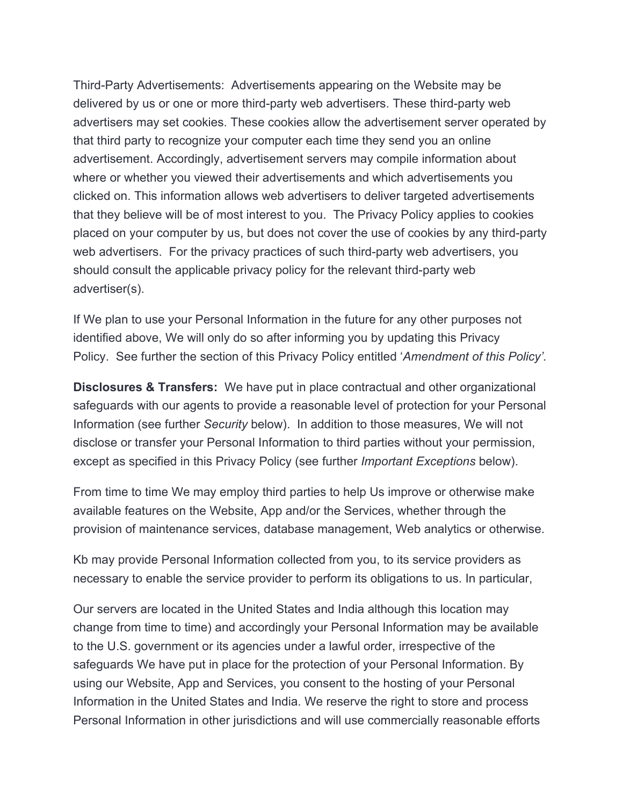Third-Party Advertisements: Advertisements appearing on the Website may be delivered by us or one or more third-party web advertisers. These third-party web advertisers may set cookies. These cookies allow the advertisement server operated by that third party to recognize your computer each time they send you an online advertisement. Accordingly, advertisement servers may compile information about where or whether you viewed their advertisements and which advertisements you clicked on. This information allows web advertisers to deliver targeted advertisements that they believe will be of most interest to you. The Privacy Policy applies to cookies placed on your computer by us, but does not cover the use of cookies by any third-party web advertisers. For the privacy practices of such third-party web advertisers, you should consult the applicable privacy policy for the relevant third-party web advertiser(s).

If We plan to use your Personal Information in the future for any other purposes not identified above, We will only do so after informing you by updating this Privacy Policy. See further the section of this Privacy Policy entitled '*Amendment of this Policy'.*

**Disclosures & Transfers:** We have put in place contractual and other organizational safeguards with our agents to provide a reasonable level of protection for your Personal Information (see further *Security* below). In addition to those measures, We will not disclose or transfer your Personal Information to third parties without your permission, except as specified in this Privacy Policy (see further *Important Exceptions* below).

From time to time We may employ third parties to help Us improve or otherwise make available features on the Website, App and/or the Services, whether through the provision of maintenance services, database management, Web analytics or otherwise.

Kb may provide Personal Information collected from you, to its service providers as necessary to enable the service provider to perform its obligations to us. In particular,

Our servers are located in the United States and India although this location may change from time to time) and accordingly your Personal Information may be available to the U.S. government or its agencies under a lawful order, irrespective of the safeguards We have put in place for the protection of your Personal Information. By using our Website, App and Services, you consent to the hosting of your Personal Information in the United States and India. We reserve the right to store and process Personal Information in other jurisdictions and will use commercially reasonable efforts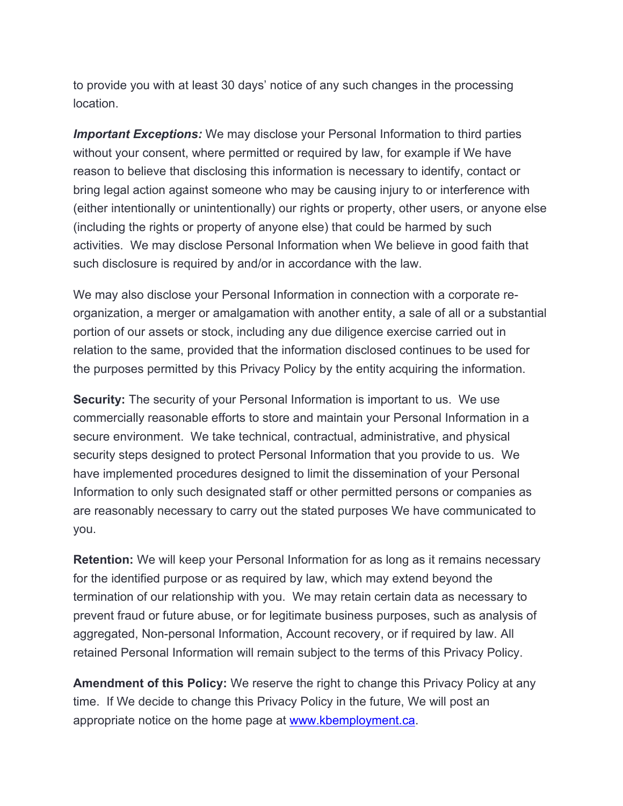to provide you with at least 30 days' notice of any such changes in the processing location.

**Important Exceptions:** We may disclose your Personal Information to third parties without your consent, where permitted or required by law, for example if We have reason to believe that disclosing this information is necessary to identify, contact or bring legal action against someone who may be causing injury to or interference with (either intentionally or unintentionally) our rights or property, other users, or anyone else (including the rights or property of anyone else) that could be harmed by such activities. We may disclose Personal Information when We believe in good faith that such disclosure is required by and/or in accordance with the law.

We may also disclose your Personal Information in connection with a corporate reorganization, a merger or amalgamation with another entity, a sale of all or a substantial portion of our assets or stock, including any due diligence exercise carried out in relation to the same, provided that the information disclosed continues to be used for the purposes permitted by this Privacy Policy by the entity acquiring the information.

**Security:** The security of your Personal Information is important to us. We use commercially reasonable efforts to store and maintain your Personal Information in a secure environment. We take technical, contractual, administrative, and physical security steps designed to protect Personal Information that you provide to us. We have implemented procedures designed to limit the dissemination of your Personal Information to only such designated staff or other permitted persons or companies as are reasonably necessary to carry out the stated purposes We have communicated to you.

**Retention:** We will keep your Personal Information for as long as it remains necessary for the identified purpose or as required by law, which may extend beyond the termination of our relationship with you. We may retain certain data as necessary to prevent fraud or future abuse, or for legitimate business purposes, such as analysis of aggregated, Non-personal Information, Account recovery, or if required by law. All retained Personal Information will remain subject to the terms of this Privacy Policy.

**Amendment of this Policy:** We reserve the right to change this Privacy Policy at any time. If We decide to change this Privacy Policy in the future, We will post an appropriate notice on the home page at [www.kbemployment.ca.](http://www.kbemployment.ca/)